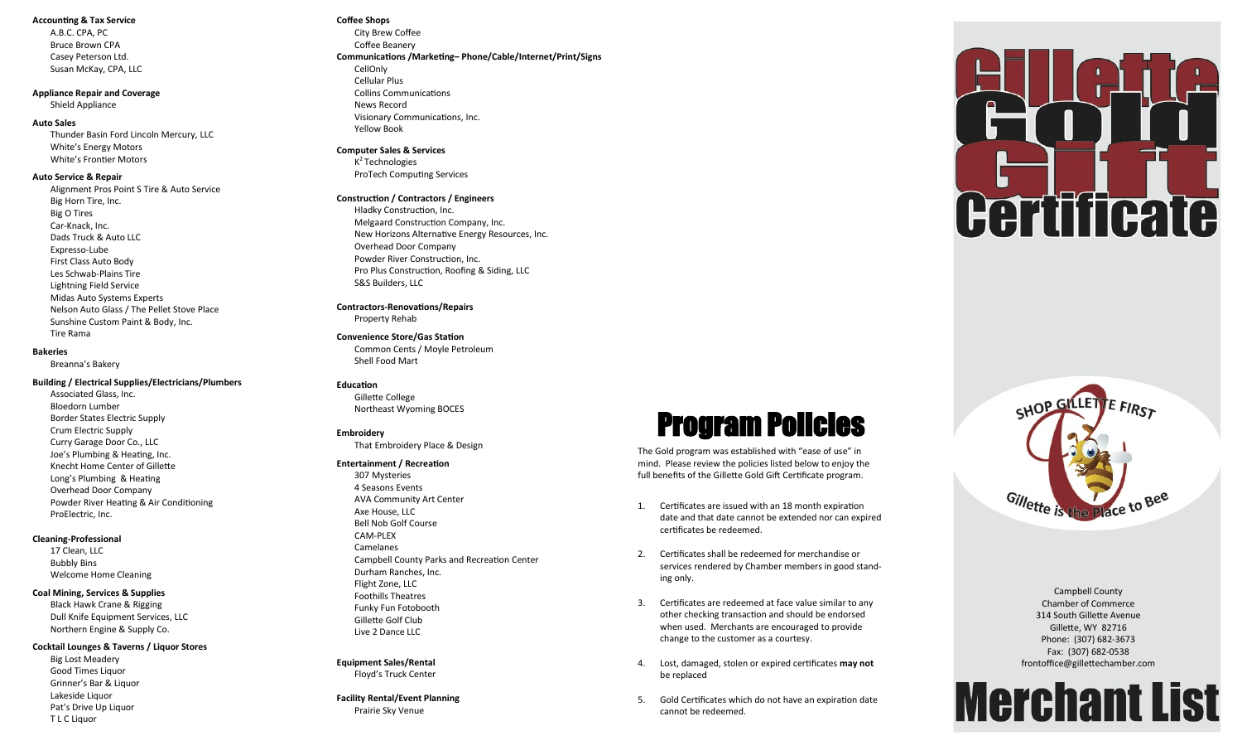#### **Accounting & Tax Service**

A.B.C. CPA, PC Bruce Brown CPA Casey Peterson Ltd. Susan McKay, CPA, LLC

# **Appliance Repair and Coverage**

Shield Appliance

#### **Auto Sales**

Thunder Basin Ford Lincoln Mercury, LLC White 's Energy Motors White 's Frontier Motors

#### **Auto Service & Repair**

Alignment Pros Point S Tire & Auto Service Big Horn Tire, Inc. Big O Tires Car -Knack, Inc. Dads Truck & Auto LLC Expresso -Lube First Class Auto Body Les Schwab -Plains Tire Lightning Field Service Midas Auto Systems Experts Nelson Auto Glass / The Pellet Stove Place Sunshine Custom Paint & Body, Inc. Tire Rama

### **Bakeries**

Breanna 's Bakery

# **Building / Electrical Supplies/Electricians/Plumbers**

Associated Glass, Inc. Bloedorn Lumber Border States Electric Supply Crum Electric Supply Curry Garage Door Co., LLC Joe 's Plumbing & Heating, Inc. Knecht Home Center of Gillette Long 's Plumbing & Heating Overhead Door Company Powder River Heating & Air Conditioning ProElectric, Inc.

# **Cleaning -Professional**

17 Clean, LLC Bubbly Bins Welcome Home Cleaning

#### **Coal Mining, Services & Supplies**

Black Hawk Crane & Rigging Dull Knife Equipment Services, LLC Northern Engine & Supply Co.

# **Cocktail Lounges & Taverns / Liquor Stores**

Big Lost Meadery Good Times Liquor Grinner 's Bar & Liquor Lakeside Liquor Pat 's Drive Up Liquor T L C Liquor

# **Coffee Shops**

City Brew Coffee Coffee Beanery **Communications /Marketing – Phone/Cable/Internet/Print/Signs** CellOnly Cellular Plus Collins Communications News Record Visionary Communications, Inc. Yellow Book

# **Computer Sales & Services**

K<sup>2</sup> Technologies ProTech Computing Services

#### **Construction / Contractors / Engineers**

Hladky Construction, Inc. Melgaard Construction Company, Inc. New Horizons Alternative Energy Resources, Inc. Overhead Door Company Powder River Construction, Inc. Pro Plus Construction, Roofing & Siding, LLC S&S Builders, LLC

**Contractors -Renovations/Repairs** Property Rehab

# **Convenience Store/Gas Station**

Common Cents / Moyle Petroleum Shell Food Mart

#### **Education**

Gillette College Northeast Wyoming BOCES

#### **Embroidery**

That Embroidery Place & Design

#### **Entertainment / Recreation**

307 Mysteries 4 Seasons Events AVA Community Art Center Axe House, LLC Bell Nob Golf Course CAM -PLEX Camelanes Campbell County Parks and Recreation Center Durham Ranches, Inc. Flight Zone, LLC Foothills Theatres Funky Fun Fotobooth Gillette Golf Club Live 2 Dance LLC

# **Equipment Sales/Rental** Floyd 's Truck Center

**Facility Rental/Event Planning** Prairie Sky Venue



# Program Policies

The Gold program was established with "ease of use" in mind. Please review the policies listed below to enjoy the full benefits of the Gillette Gold Gift Certificate program.

- 1. Certificates are issued with an 18 month expiration date and that date cannot be extended nor can expired certificates be redeemed.
- 2. Certificates shall be redeemed for merchandise or services rendered by Chamber members in good standing only.
- 3. Certificates are redeemed at face value similar to any other checking transaction and should be endorsed when used. Merchants are encouraged to provide change to the customer as a courtesy.
- 4. Lost, damaged, stolen or expired certificates **may not**  be replaced
- 5. Gold Certificates which do not have an expiration date cannot be redeemed.



Campbell County Chamber of Commerce 314 South Gillette Avenue Gillette, WY 82716 Phone: (307) 682 -3673 Fax: (307) 682 -0538 frontoffice@gillettechamber.com